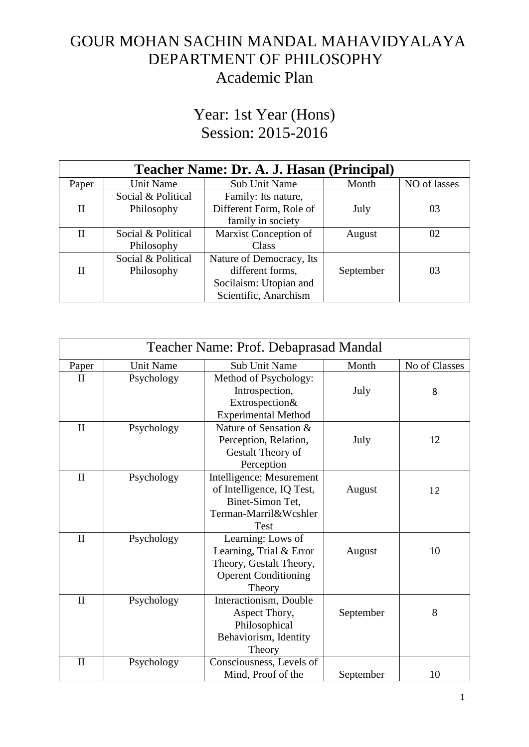## GOUR MOHAN SACHIN MANDAL MAHAVIDYALAYA DEPARTMENT OF PHILOSOPHY Academic Plan

## Year: 1st Year (Hons) Session: 2015-2016

| Teacher Name: Dr. A. J. Hasan (Principal) |                    |                          |           |              |  |
|-------------------------------------------|--------------------|--------------------------|-----------|--------------|--|
| Paper                                     | Unit Name          | Sub Unit Name            | Month     | NO of lasses |  |
|                                           | Social & Political | Family: Its nature,      |           |              |  |
| H                                         | Philosophy         | Different Form, Role of  | July      | 03           |  |
|                                           |                    | family in society        |           |              |  |
| $_{\rm II}$                               | Social & Political | Marxist Conception of    | August    | 02           |  |
|                                           | Philosophy         | Class                    |           |              |  |
|                                           | Social & Political | Nature of Democracy, Its |           |              |  |
| Н                                         | Philosophy         | different forms,         | September | 03           |  |
|                                           |                    | Socilaism: Utopian and   |           |              |  |
|                                           |                    | Scientific, Anarchism    |           |              |  |

| Teacher Name: Prof. Debaprasad Mandal |                  |                             |           |               |
|---------------------------------------|------------------|-----------------------------|-----------|---------------|
| Paper                                 | <b>Unit Name</b> | <b>Sub Unit Name</b>        | Month     | No of Classes |
| $\mathbf{I}$                          | Psychology       | Method of Psychology:       |           |               |
|                                       |                  | Introspection,              | July      | 8             |
|                                       |                  | Extrospection&              |           |               |
|                                       |                  | <b>Experimental Method</b>  |           |               |
| $\mathbf{I}$                          | Psychology       | Nature of Sensation &       |           |               |
|                                       |                  | Perception, Relation,       | July      | 12            |
|                                       |                  | Gestalt Theory of           |           |               |
|                                       |                  | Perception                  |           |               |
| $\mathbf{I}$                          | Psychology       | Intelligence: Mesurement    |           |               |
|                                       |                  | of Intelligence, IQ Test,   | August    | 12            |
|                                       |                  | Binet-Simon Tet,            |           |               |
|                                       |                  | Terman-Marril&Wcshler       |           |               |
|                                       |                  | Test                        |           |               |
| $\mathbf{I}$                          | Psychology       | Learning: Lows of           |           |               |
|                                       |                  | Learning, Trial & Error     | August    | 10            |
|                                       |                  | Theory, Gestalt Theory,     |           |               |
|                                       |                  | <b>Operent Conditioning</b> |           |               |
|                                       |                  | Theory                      |           |               |
| $\mathbf{I}$                          | Psychology       | Interactionism, Double      |           |               |
|                                       |                  | Aspect Thory,               | September | 8             |
|                                       |                  | Philosophical               |           |               |
|                                       |                  | Behaviorism, Identity       |           |               |
|                                       |                  | Theory                      |           |               |
| $\mathbf{I}$                          | Psychology       | Consciousness, Levels of    |           |               |
|                                       |                  | Mind, Proof of the          | September | 10            |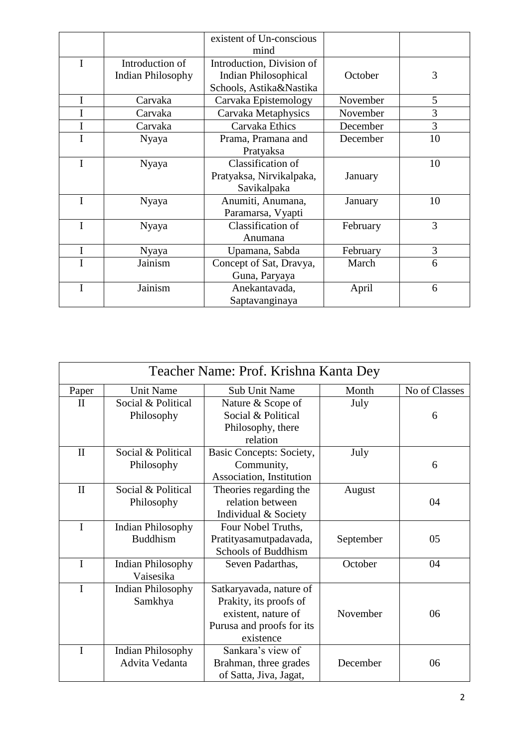|   |                          | existent of Un-conscious    |          |    |
|---|--------------------------|-----------------------------|----------|----|
|   |                          | mind                        |          |    |
| I | Introduction of          | Introduction, Division of   |          |    |
|   | <b>Indian Philosophy</b> | <b>Indian Philosophical</b> | October  | 3  |
|   |                          | Schools, Astika&Nastika     |          |    |
| Ι | Carvaka                  | Carvaka Epistemology        | November | 5  |
|   | Carvaka                  | Carvaka Metaphysics         | November | 3  |
| I | Carvaka                  | Carvaka Ethics              | December | 3  |
| I | Nyaya                    | Prama, Pramana and          | December | 10 |
|   |                          | Pratyaksa                   |          |    |
| I | Nyaya                    | Classification of           |          | 10 |
|   |                          | Pratyaksa, Nirvikalpaka,    | January  |    |
|   |                          | Savikalpaka                 |          |    |
| I | Nyaya                    | Anumiti, Anumana,           | January  | 10 |
|   |                          | Paramarsa, Vyapti           |          |    |
| I | Nyaya                    | Classification of           | February | 3  |
|   |                          | Anumana                     |          |    |
| I | Nyaya                    | Upamana, Sabda              | February | 3  |
|   | Jainism                  | Concept of Sat, Dravya,     | March    | 6  |
|   |                          | Guna, Paryaya               |          |    |
| I | Jainism                  | Anekantavada,               | April    | 6  |
|   |                          | Saptavanginaya              |          |    |

| Teacher Name: Prof. Krishna Kanta Dey |                                             |                                                                                                                    |           |               |
|---------------------------------------|---------------------------------------------|--------------------------------------------------------------------------------------------------------------------|-----------|---------------|
| Paper                                 | <b>Unit Name</b>                            | <b>Sub Unit Name</b>                                                                                               | Month     | No of Classes |
| $\mathbf{I}$                          | Social & Political<br>Philosophy            | Nature & Scope of<br>Social & Political<br>Philosophy, there<br>relation                                           | July      | 6             |
| $\mathbf{I}$                          | Social & Political<br>Philosophy            | Basic Concepts: Society,<br>Community,<br>Association, Institution                                                 | July      | 6             |
| $\mathbf{I}$                          | Social & Political<br>Philosophy            | Theories regarding the<br>relation between<br>Individual & Society                                                 | August    | 04            |
| $\mathbf I$                           | <b>Indian Philosophy</b><br><b>Buddhism</b> | Four Nobel Truths,<br>Pratityasamutpadavada,<br>Schools of Buddhism                                                | September | 05            |
| $\mathbf I$                           | <b>Indian Philosophy</b><br>Vaisesika       | Seven Padarthas,                                                                                                   | October   | 04            |
| $\mathbf I$                           | <b>Indian Philosophy</b><br>Samkhya         | Satkaryavada, nature of<br>Prakity, its proofs of<br>existent, nature of<br>Purusa and proofs for its<br>existence | November  | 06            |
| I                                     | <b>Indian Philosophy</b><br>Advita Vedanta  | Sankara's view of<br>Brahman, three grades<br>of Satta, Jiva, Jagat,                                               | December  | 06            |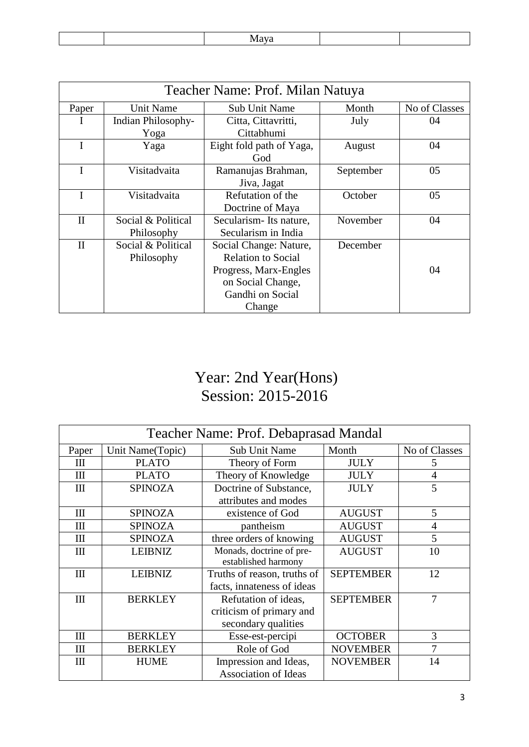|--|

| Teacher Name: Prof. Milan Natuya |                    |                           |           |               |  |
|----------------------------------|--------------------|---------------------------|-----------|---------------|--|
| Paper                            | <b>Unit Name</b>   | <b>Sub Unit Name</b>      | Month     | No of Classes |  |
|                                  | Indian Philosophy- | Citta, Cittavritti,       | July      | 04            |  |
|                                  | Yoga               | Cittabhumi                |           |               |  |
|                                  | Yaga               | Eight fold path of Yaga,  | August    | 04            |  |
|                                  |                    | God                       |           |               |  |
|                                  | Visitadvaita       | Ramanujas Brahman,        | September | 05            |  |
|                                  |                    | Jiva, Jagat               |           |               |  |
|                                  | Visitadvaita       | Refutation of the         | October   | 05            |  |
|                                  |                    | Doctrine of Maya          |           |               |  |
| $\mathbf{I}$                     | Social & Political | Secularism-Its nature,    | November  | 04            |  |
|                                  | Philosophy         | Secularism in India       |           |               |  |
| $\mathbf{I}$                     | Social & Political | Social Change: Nature,    | December  |               |  |
|                                  | Philosophy         | <b>Relation to Social</b> |           |               |  |
|                                  |                    | Progress, Marx-Engles     |           | 04            |  |
|                                  |                    | on Social Change,         |           |               |  |
|                                  |                    | Gandhi on Social          |           |               |  |
|                                  |                    | Change                    |           |               |  |

# Year: 2nd Year(Hons) Session: 2015-2016

| Teacher Name: Prof. Debaprasad Mandal |                  |                             |                  |                |
|---------------------------------------|------------------|-----------------------------|------------------|----------------|
| Paper                                 | Unit Name(Topic) | <b>Sub Unit Name</b>        | Month            | No of Classes  |
| Ш                                     | <b>PLATO</b>     | Theory of Form              | <b>JULY</b>      | 5              |
| $\mathop{\mathrm{III}}\nolimits$      | <b>PLATO</b>     | Theory of Knowledge         | <b>JULY</b>      | $\overline{4}$ |
| Ш                                     | <b>SPINOZA</b>   | Doctrine of Substance,      | <b>JULY</b>      | 5              |
|                                       |                  | attributes and modes        |                  |                |
| $\mathbf{I}$                          | <b>SPINOZA</b>   | existence of God            | <b>AUGUST</b>    | 5              |
| $\mathbf{I}$                          | <b>SPINOZA</b>   | pantheism                   | <b>AUGUST</b>    | $\overline{4}$ |
| $\mathop{\mathrm{III}}\nolimits$      | <b>SPINOZA</b>   | three orders of knowing     | <b>AUGUST</b>    | 5              |
| $\mathbf{I}$                          | <b>LEIBNIZ</b>   | Monads, doctrine of pre-    | <b>AUGUST</b>    | 10             |
|                                       |                  | established harmony         |                  |                |
| $\mathbf{I}$                          | <b>LEIBNIZ</b>   | Truths of reason, truths of | <b>SEPTEMBER</b> | 12             |
|                                       |                  | facts, innateness of ideas  |                  |                |
| Ш                                     | <b>BERKLEY</b>   | Refutation of ideas,        | <b>SEPTEMBER</b> | 7              |
|                                       |                  | criticism of primary and    |                  |                |
|                                       |                  | secondary qualities         |                  |                |
| Ш                                     | <b>BERKLEY</b>   | Esse-est-percipi            | <b>OCTOBER</b>   | 3              |
| Ш                                     | <b>BERKLEY</b>   | Role of God                 | <b>NOVEMBER</b>  | 7              |
| Ш                                     | <b>HUME</b>      | Impression and Ideas,       | <b>NOVEMBER</b>  | 14             |
|                                       |                  | <b>Association of Ideas</b> |                  |                |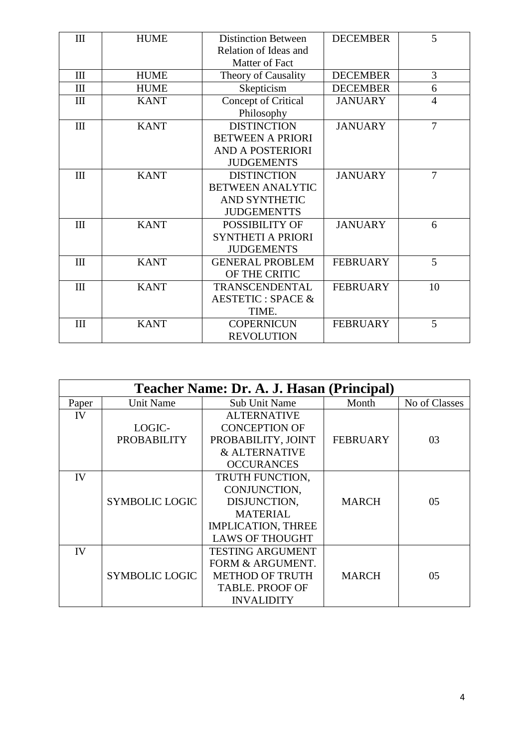| $\mathbf{I}$                     | <b>HUME</b> | <b>Distinction Between</b>   | <b>DECEMBER</b> | 5              |
|----------------------------------|-------------|------------------------------|-----------------|----------------|
|                                  |             | Relation of Ideas and        |                 |                |
|                                  |             | Matter of Fact               |                 |                |
| $\mathbf{I}$                     | <b>HUME</b> | Theory of Causality          | <b>DECEMBER</b> | 3              |
| $\rm III$                        | <b>HUME</b> | Skepticism                   | <b>DECEMBER</b> | 6              |
| $\mathbf{I}$                     | <b>KANT</b> | Concept of Critical          | <b>JANUARY</b>  | $\overline{4}$ |
|                                  |             | Philosophy                   |                 |                |
| III                              | <b>KANT</b> | <b>DISTINCTION</b>           | <b>JANUARY</b>  | $\overline{7}$ |
|                                  |             | <b>BETWEEN A PRIORI</b>      |                 |                |
|                                  |             | <b>AND A POSTERIORI</b>      |                 |                |
|                                  |             | <b>JUDGEMENTS</b>            |                 |                |
| $\mathbf{I}$                     | <b>KANT</b> | <b>DISTINCTION</b>           | <b>JANUARY</b>  | 7              |
|                                  |             | <b>BETWEEN ANALYTIC</b>      |                 |                |
|                                  |             | AND SYNTHETIC                |                 |                |
|                                  |             | <b>JUDGEMENTTS</b>           |                 |                |
| $\mathbf{III}$                   | <b>KANT</b> | POSSIBILITY OF               | <b>JANUARY</b>  | 6              |
|                                  |             | <b>SYNTHETI A PRIORI</b>     |                 |                |
|                                  |             | <b>JUDGEMENTS</b>            |                 |                |
| $\mathbf{I}$                     | <b>KANT</b> | <b>GENERAL PROBLEM</b>       | <b>FEBRUARY</b> | 5              |
|                                  |             | OF THE CRITIC                |                 |                |
| $\mathop{\mathrm{III}}\nolimits$ | <b>KANT</b> | TRANSCENDENTAL               | <b>FEBRUARY</b> | 10             |
|                                  |             | <b>AESTETIC: SPACE &amp;</b> |                 |                |
|                                  |             | TIME.                        |                 |                |
| III                              | <b>KANT</b> | <b>COPERNICUN</b>            | <b>FEBRUARY</b> | 5              |
|                                  |             | <b>REVOLUTION</b>            |                 |                |

| Teacher Name: Dr. A. J. Hasan (Principal) |                       |                             |                 |               |
|-------------------------------------------|-----------------------|-----------------------------|-----------------|---------------|
| Paper                                     | Unit Name             | <b>Sub Unit Name</b>        | Month           | No of Classes |
| IV                                        |                       | <b>ALTERNATIVE</b>          |                 |               |
|                                           | LOGIC-                | <b>CONCEPTION OF</b>        |                 |               |
|                                           | <b>PROBABILITY</b>    | PROBABILITY, JOINT          | <b>FEBRUARY</b> | 03            |
|                                           |                       | & ALTERNATIVE               |                 |               |
|                                           |                       | <b>OCCURANCES</b>           |                 |               |
| IV                                        |                       | TRUTH FUNCTION,             |                 |               |
|                                           |                       | CONJUNCTION,                |                 |               |
|                                           | <b>SYMBOLIC LOGIC</b> | DISJUNCTION,                | <b>MARCH</b>    | 05            |
|                                           |                       | <b>MATERIAL</b>             |                 |               |
|                                           |                       | <b>IMPLICATION, THREE</b>   |                 |               |
|                                           |                       | <b>LAWS OF THOUGHT</b>      |                 |               |
| IV                                        |                       | <b>TESTING ARGUMENT</b>     |                 |               |
|                                           |                       | <b>FORM &amp; ARGUMENT.</b> |                 |               |
|                                           | <b>SYMBOLIC LOGIC</b> | <b>METHOD OF TRUTH</b>      | <b>MARCH</b>    | 05            |
|                                           |                       | <b>TABLE. PROOF OF</b>      |                 |               |
|                                           |                       | <b>INVALIDITY</b>           |                 |               |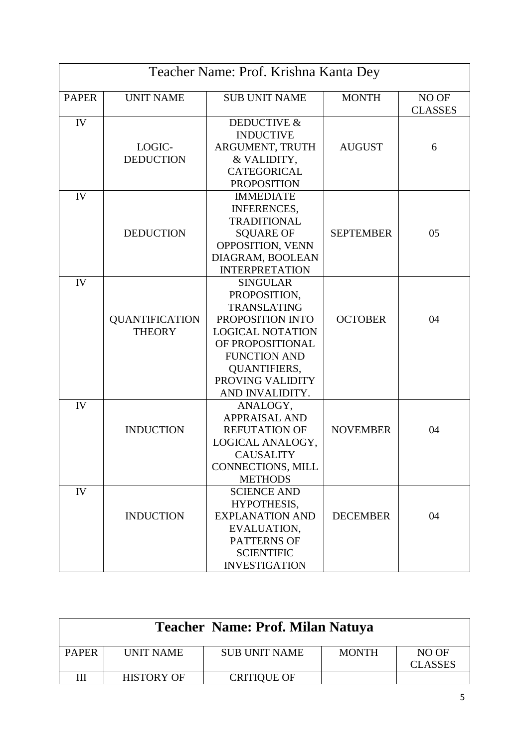| Teacher Name: Prof. Krishna Kanta Dey |                       |                         |                  |                |  |
|---------------------------------------|-----------------------|-------------------------|------------------|----------------|--|
| <b>PAPER</b>                          | <b>UNIT NAME</b>      | <b>SUB UNIT NAME</b>    | <b>MONTH</b>     | NO OF          |  |
|                                       |                       |                         |                  | <b>CLASSES</b> |  |
| IV                                    |                       | <b>DEDUCTIVE &amp;</b>  |                  |                |  |
|                                       |                       | <b>INDUCTIVE</b>        |                  |                |  |
|                                       | LOGIC-                | ARGUMENT, TRUTH         | <b>AUGUST</b>    | 6              |  |
|                                       | <b>DEDUCTION</b>      | & VALIDITY,             |                  |                |  |
|                                       |                       | <b>CATEGORICAL</b>      |                  |                |  |
|                                       |                       | <b>PROPOSITION</b>      |                  |                |  |
| IV                                    |                       | <b>IMMEDIATE</b>        |                  |                |  |
|                                       |                       | <b>INFERENCES,</b>      |                  |                |  |
|                                       |                       | <b>TRADITIONAL</b>      |                  |                |  |
|                                       | <b>DEDUCTION</b>      | <b>SQUARE OF</b>        | <b>SEPTEMBER</b> | 05             |  |
|                                       |                       | OPPOSITION, VENN        |                  |                |  |
|                                       |                       | DIAGRAM, BOOLEAN        |                  |                |  |
|                                       |                       | <b>INTERPRETATION</b>   |                  |                |  |
| IV                                    |                       | <b>SINGULAR</b>         |                  |                |  |
|                                       |                       | PROPOSITION,            |                  |                |  |
|                                       |                       | <b>TRANSLATING</b>      |                  |                |  |
|                                       | <b>QUANTIFICATION</b> | PROPOSITION INTO        | <b>OCTOBER</b>   | 04             |  |
|                                       | <b>THEORY</b>         | <b>LOGICAL NOTATION</b> |                  |                |  |
|                                       |                       | OF PROPOSITIONAL        |                  |                |  |
|                                       |                       | <b>FUNCTION AND</b>     |                  |                |  |
|                                       |                       | <b>QUANTIFIERS,</b>     |                  |                |  |
|                                       |                       | PROVING VALIDITY        |                  |                |  |
|                                       |                       | AND INVALIDITY.         |                  |                |  |
| IV                                    |                       | ANALOGY,                |                  |                |  |
|                                       |                       | <b>APPRAISAL AND</b>    |                  |                |  |
|                                       | <b>INDUCTION</b>      | <b>REFUTATION OF</b>    | <b>NOVEMBER</b>  | 04             |  |
|                                       |                       | LOGICAL ANALOGY,        |                  |                |  |
|                                       |                       | <b>CAUSALITY</b>        |                  |                |  |
|                                       |                       | CONNECTIONS, MILL       |                  |                |  |
|                                       |                       | <b>METHODS</b>          |                  |                |  |
| IV                                    |                       | <b>SCIENCE AND</b>      |                  |                |  |
|                                       |                       | HYPOTHESIS,             |                  |                |  |
|                                       | <b>INDUCTION</b>      | <b>EXPLANATION AND</b>  | <b>DECEMBER</b>  | 04             |  |
|                                       |                       | EVALUATION,             |                  |                |  |
|                                       |                       | <b>PATTERNS OF</b>      |                  |                |  |
|                                       |                       | <b>SCIENTIFIC</b>       |                  |                |  |
|                                       |                       | <b>INVESTIGATION</b>    |                  |                |  |

| Teacher Name: Prof. Milan Natuya |                   |                      |              |                         |
|----------------------------------|-------------------|----------------------|--------------|-------------------------|
| <b>PAPER</b>                     | <b>UNIT NAME</b>  | <b>SUB UNIT NAME</b> | <b>MONTH</b> | NO OF<br><b>CLASSES</b> |
| Ш                                | <b>HISTORY OF</b> | <b>CRITIQUE OF</b>   |              |                         |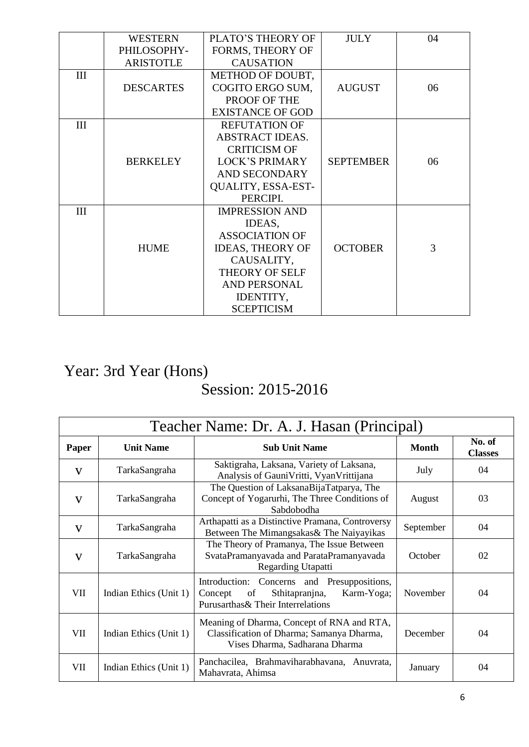|     | <b>WESTERN</b>   | PLATO'S THEORY OF       | <b>JULY</b>      | 04 |
|-----|------------------|-------------------------|------------------|----|
|     |                  |                         |                  |    |
|     | PHILOSOPHY-      | FORMS, THEORY OF        |                  |    |
|     | <b>ARISTOTLE</b> | <b>CAUSATION</b>        |                  |    |
| III |                  | <b>METHOD OF DOUBT,</b> |                  |    |
|     | <b>DESCARTES</b> | COGITO ERGO SUM,        | <b>AUGUST</b>    | 06 |
|     |                  | PROOF OF THE            |                  |    |
|     |                  | <b>EXISTANCE OF GOD</b> |                  |    |
| III |                  | <b>REFUTATION OF</b>    |                  |    |
|     |                  | <b>ABSTRACT IDEAS.</b>  |                  |    |
|     |                  | <b>CRITICISM OF</b>     |                  |    |
|     | <b>BERKELEY</b>  | <b>LOCK'S PRIMARY</b>   | <b>SEPTEMBER</b> | 06 |
|     |                  | <b>AND SECONDARY</b>    |                  |    |
|     |                  | QUALITY, ESSA-EST-      |                  |    |
|     |                  | PERCIPI.                |                  |    |
| III |                  | <b>IMPRESSION AND</b>   |                  |    |
|     |                  | IDEAS,                  |                  |    |
|     |                  | <b>ASSOCIATION OF</b>   |                  |    |
|     | <b>HUME</b>      | <b>IDEAS, THEORY OF</b> | <b>OCTOBER</b>   | 3  |
|     |                  | CAUSALITY,              |                  |    |
|     |                  | THEORY OF SELF          |                  |    |
|     |                  | <b>AND PERSONAL</b>     |                  |    |
|     |                  | IDENTITY,               |                  |    |
|     |                  | <b>SCEPTICISM</b>       |                  |    |

## Year: 3rd Year (Hons) Session: 2015-2016

| Teacher Name: Dr. A. J. Hasan (Principal) |                        |                                                                                                                                      |              |                          |
|-------------------------------------------|------------------------|--------------------------------------------------------------------------------------------------------------------------------------|--------------|--------------------------|
| Paper                                     | <b>Unit Name</b>       | <b>Sub Unit Name</b>                                                                                                                 | <b>Month</b> | No. of<br><b>Classes</b> |
| $\mathbf{V}$                              | TarkaSangraha          | Saktigraha, Laksana, Variety of Laksana,<br>Analysis of GauniVritti, VyanVrittijana                                                  | July         | 04                       |
| V                                         | TarkaSangraha          | The Question of LaksanaBijaTatparya, The<br>Concept of Yogarurhi, The Three Conditions of<br>Sabdobodha                              | August       | 03                       |
| V                                         | TarkaSangraha          | Arthapatti as a Distinctive Pramana, Controversy<br>Between The Mimangsakas& The Naiyayikas                                          | September    | 04                       |
| V                                         | TarkaSangraha          | The Theory of Pramanya, The Issue Between<br>SvataPramanyavada and ParataPramanyavada<br>Regarding Utapatti                          | October      | 02                       |
| VII                                       | Indian Ethics (Unit 1) | Concerns and Presuppositions,<br>Introduction:<br>Sthitapranjna,<br>of<br>Karm-Yoga;<br>Concept<br>Purusarthas& Their Interrelations | November     | 04                       |
| VII                                       | Indian Ethics (Unit 1) | Meaning of Dharma, Concept of RNA and RTA,<br>Classification of Dharma; Samanya Dharma,<br>Vises Dharma, Sadharana Dharma            | December     | 04                       |
| VII                                       | Indian Ethics (Unit 1) | Panchacilea, Brahmaviharabhavana, Anuvrata,<br>Mahavrata, Ahimsa                                                                     | January      | 04                       |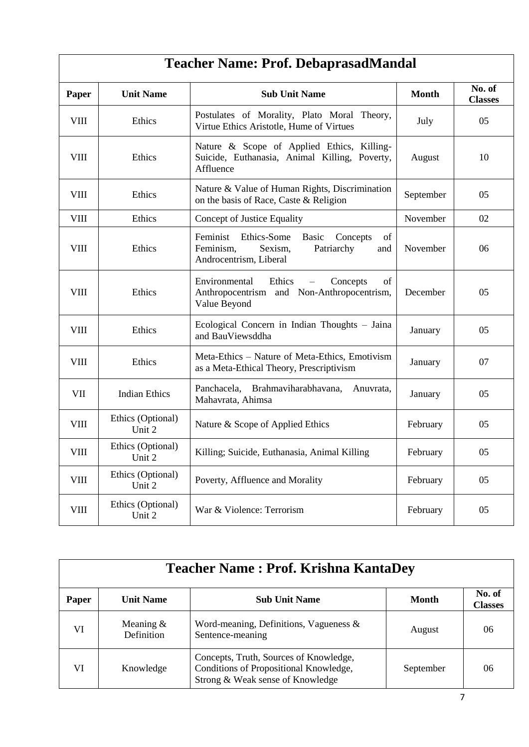# **Teacher Name: Prof. DebaprasadMandal**

| Paper       | <b>Unit Name</b>            | <b>Sub Unit Name</b>                                                                                                      | <b>Month</b> | No. of<br><b>Classes</b> |
|-------------|-----------------------------|---------------------------------------------------------------------------------------------------------------------------|--------------|--------------------------|
| <b>VIII</b> | Ethics                      | Postulates of Morality, Plato Moral Theory,<br>Virtue Ethics Aristotle, Hume of Virtues                                   | July         | 05                       |
| <b>VIII</b> | Ethics                      | Nature & Scope of Applied Ethics, Killing-<br>Suicide, Euthanasia, Animal Killing, Poverty,<br>Affluence                  | August       | 10                       |
| <b>VIII</b> | Ethics                      | Nature & Value of Human Rights, Discrimination<br>on the basis of Race, Caste & Religion                                  | September    | 05                       |
| <b>VIII</b> | Ethics                      | Concept of Justice Equality                                                                                               | November     | 02                       |
| <b>VIII</b> | Ethics                      | Feminist<br>Ethics-Some<br>Basic<br>of<br>Concepts<br>Feminism,<br>Sexism,<br>Patriarchy<br>and<br>Androcentrism, Liberal | November     | 06                       |
| <b>VIII</b> | Ethics                      | Environmental<br>Ethics<br>Concepts<br>of<br>$\equiv$<br>Anthropocentrism and Non-Anthropocentrism,<br>Value Beyond       | December     | 05                       |
| <b>VIII</b> | Ethics                      | Ecological Concern in Indian Thoughts - Jaina<br>and BauViewsddha                                                         | January      | 05                       |
| <b>VIII</b> | Ethics                      | Meta-Ethics - Nature of Meta-Ethics, Emotivism<br>as a Meta-Ethical Theory, Prescriptivism                                | January      | 07                       |
| <b>VII</b>  | <b>Indian Ethics</b>        | Panchacela, Brahmaviharabhavana,<br>Anuvrata,<br>Mahavrata, Ahimsa                                                        | January      | 0 <sub>5</sub>           |
| <b>VIII</b> | Ethics (Optional)<br>Unit 2 | Nature & Scope of Applied Ethics                                                                                          | February     | 05                       |
| <b>VIII</b> | Ethics (Optional)<br>Unit 2 | Killing; Suicide, Euthanasia, Animal Killing                                                                              | February     | 05                       |
| <b>VIII</b> | Ethics (Optional)<br>Unit 2 | Poverty, Affluence and Morality                                                                                           | February     | 05                       |
| <b>VIII</b> | Ethics (Optional)<br>Unit 2 | War & Violence: Terrorism                                                                                                 | February     | 05                       |

| <b>Teacher Name: Prof. Krishna KantaDey</b> |                           |                                                                                                                      |              |                          |  |
|---------------------------------------------|---------------------------|----------------------------------------------------------------------------------------------------------------------|--------------|--------------------------|--|
| Paper                                       | <b>Unit Name</b>          | <b>Sub Unit Name</b>                                                                                                 | <b>Month</b> | No. of<br><b>Classes</b> |  |
| VI                                          | Meaning $&$<br>Definition | Word-meaning, Definitions, Vagueness $\&$<br>Sentence-meaning                                                        | August       | 06                       |  |
| VI                                          | Knowledge                 | Concepts, Truth, Sources of Knowledge,<br>Conditions of Propositional Knowledge,<br>Strong & Weak sense of Knowledge | September    | 06                       |  |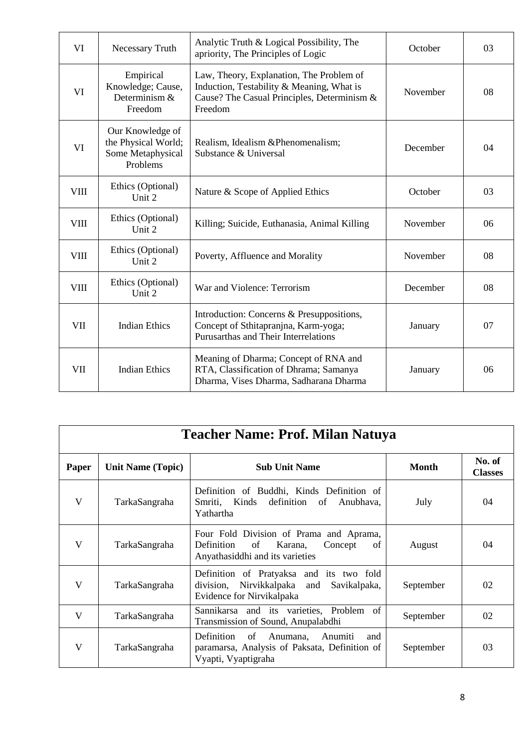| VI          | <b>Necessary Truth</b>                                                   | Analytic Truth & Logical Possibility, The<br>October<br>apriority, The Principles of Logic                                                                  |          | 03 |
|-------------|--------------------------------------------------------------------------|-------------------------------------------------------------------------------------------------------------------------------------------------------------|----------|----|
| VI          | Empirical<br>Knowledge; Cause,<br>Determinism &<br>Freedom               | Law, Theory, Explanation, The Problem of<br>Induction, Testability & Meaning, What is<br>November<br>Cause? The Casual Principles, Determinism &<br>Freedom |          | 08 |
| VI          | Our Knowledge of<br>the Physical World;<br>Some Metaphysical<br>Problems | Realism, Idealism & Phenomenalism;<br>Substance & Universal                                                                                                 | December | 04 |
| <b>VIII</b> | Ethics (Optional)<br>Unit 2                                              | Nature & Scope of Applied Ethics                                                                                                                            | October  | 03 |
| <b>VIII</b> | Ethics (Optional)<br>Unit 2                                              | Killing; Suicide, Euthanasia, Animal Killing                                                                                                                | November | 06 |
| <b>VIII</b> | Ethics (Optional)<br>Unit 2                                              | Poverty, Affluence and Morality                                                                                                                             | November | 08 |
| VIII        | Ethics (Optional)<br>Unit 2                                              | War and Violence: Terrorism                                                                                                                                 | December | 08 |
| <b>VII</b>  | <b>Indian Ethics</b>                                                     | Introduction: Concerns & Presuppositions,<br>Concept of Sthitapranjna, Karm-yoga;<br>Purusarthas and Their Interrelations                                   | January  | 07 |
| <b>VII</b>  | <b>Indian Ethics</b>                                                     | Meaning of Dharma; Concept of RNA and<br>RTA, Classification of Dhrama; Samanya<br>Dharma, Vises Dharma, Sadharana Dharma                                   | January  | 06 |

|       | Teacher Name: Prof. Milan Natuya |                                                                                                                                   |              |                          |  |  |
|-------|----------------------------------|-----------------------------------------------------------------------------------------------------------------------------------|--------------|--------------------------|--|--|
| Paper | <b>Unit Name (Topic)</b>         | <b>Sub Unit Name</b>                                                                                                              | <b>Month</b> | No. of<br><b>Classes</b> |  |  |
| V     | TarkaSangraha                    | Definition of Buddhi, Kinds Definition of<br>Kinds<br>definition<br>Smriti,<br>of<br>Anubhava,<br>Yathartha                       | July         | 04                       |  |  |
| V     | TarkaSangraha                    | Four Fold Division of Prama and Aprama,<br><b>Definition</b><br>of<br>Karana,<br>Concept<br>of<br>Anyathasiddhi and its varieties | August       | 04                       |  |  |
| V     | TarkaSangraha                    | Definition of Pratyaksa and its two fold<br>Nirvikkalpaka<br>division,<br>and<br>Savikalpaka,<br>Evidence for Nirvikalpaka        | September    | 02                       |  |  |
| V     | TarkaSangraha                    | Sannikarsa and its varieties, Problem of<br>Transmission of Sound, Anupalabdhi                                                    | September    | 02                       |  |  |
| V     | TarkaSangraha                    | Definition<br>of<br>Anumana,<br>Anumiti<br>and<br>paramarsa, Analysis of Paksata, Definition of<br>Vyapti, Vyaptigraha            | September    | 03                       |  |  |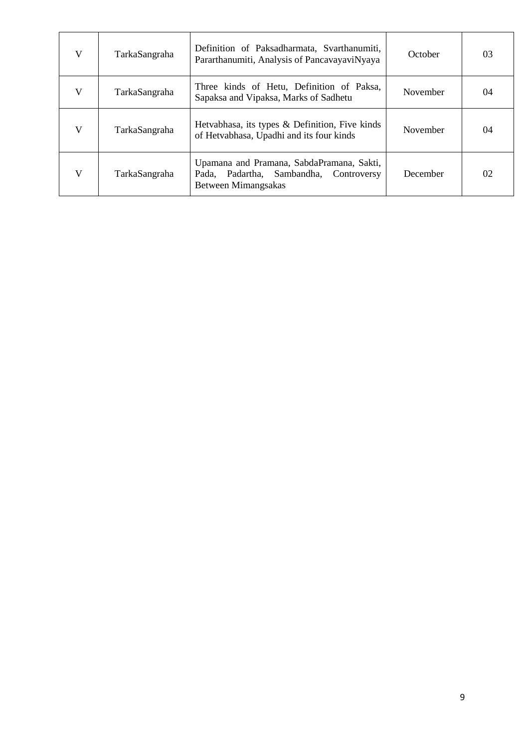| V | TarkaSangraha | Definition of Paksadharmata, Svarthanumiti,<br>Pararthanumiti, Analysis of PancavayaviNyaya                   | October  | 03 |
|---|---------------|---------------------------------------------------------------------------------------------------------------|----------|----|
| V | TarkaSangraha | Three kinds of Hetu, Definition of Paksa,<br>Sapaksa and Vipaksa, Marks of Sadhetu                            | November | 04 |
| V | TarkaSangraha | Hetvabhasa, its types & Definition, Five kinds<br>of Hetvabhasa, Upadhi and its four kinds                    | November | 04 |
| V | TarkaSangraha | Upamana and Pramana, SabdaPramana, Sakti,<br>Padartha, Sambandha, Controversy<br>Pada.<br>Between Mimangsakas | December | 02 |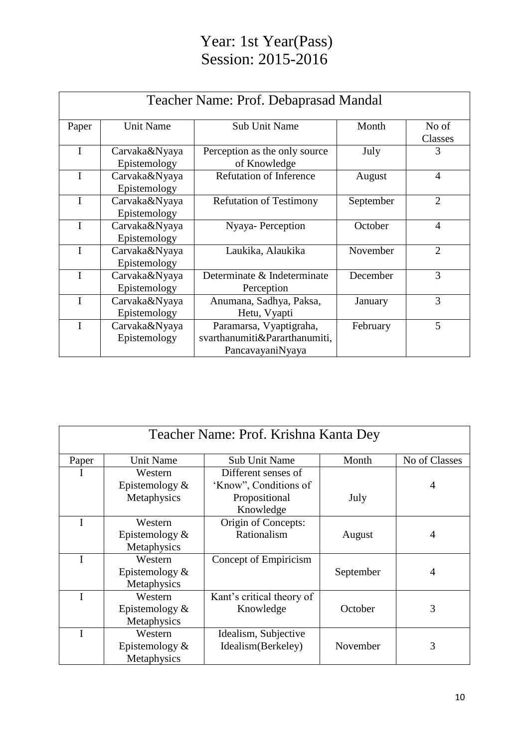## Year: 1st Year(Pass) Session: 2015-2016

| Teacher Name: Prof. Debaprasad Mandal |                               |                                                                              |           |                  |
|---------------------------------------|-------------------------------|------------------------------------------------------------------------------|-----------|------------------|
| Paper                                 | <b>Unit Name</b>              | <b>Sub Unit Name</b>                                                         | Month     | No of<br>Classes |
| I                                     | Carvaka&Nyaya<br>Epistemology | Perception as the only source<br>of Knowledge                                | July      | 3                |
| I                                     | Carvaka&Nyaya<br>Epistemology | <b>Refutation of Inference</b>                                               | August    | $\overline{4}$   |
| I                                     | Carvaka&Nyaya<br>Epistemology | <b>Refutation of Testimony</b>                                               | September | $\overline{2}$   |
| I                                     | Carvaka&Nyaya<br>Epistemology | Nyaya- Perception                                                            | October   | $\overline{4}$   |
| I                                     | Carvaka&Nyaya<br>Epistemology | Laukika, Alaukika                                                            | November  | $\overline{2}$   |
| $\mathbf I$                           | Carvaka&Nyaya<br>Epistemology | Determinate & Indeterminate<br>Perception                                    | December  | 3                |
| I                                     | Carvaka&Nyaya<br>Epistemology | Anumana, Sadhya, Paksa,<br>Hetu, Vyapti                                      | January   | 3                |
| I                                     | Carvaka&Nyaya<br>Epistemology | Paramarsa, Vyaptigraha,<br>svarthanumiti&Pararthanumiti,<br>PancavayaniNyaya | February  | 5                |

| Teacher Name: Prof. Krishna Kanta Dey |                   |                           |           |                |  |
|---------------------------------------|-------------------|---------------------------|-----------|----------------|--|
| Paper                                 | <b>Unit Name</b>  | <b>Sub Unit Name</b>      | Month     | No of Classes  |  |
|                                       | Western           | Different senses of       |           |                |  |
|                                       | Epistemology $&$  | 'Know", Conditions of     |           | 4              |  |
|                                       | Metaphysics       | Propositional             | July      |                |  |
|                                       |                   | Knowledge                 |           |                |  |
|                                       | Western           | Origin of Concepts:       |           |                |  |
|                                       | Epistemology $\&$ | Rationalism               | August    | 4              |  |
|                                       | Metaphysics       |                           |           |                |  |
|                                       | Western           | Concept of Empiricism     |           |                |  |
|                                       | Epistemology $&$  |                           | September | $\overline{4}$ |  |
|                                       | Metaphysics       |                           |           |                |  |
|                                       | Western           | Kant's critical theory of |           |                |  |
|                                       | Epistemology $&$  | Knowledge                 | October   | 3              |  |
|                                       | Metaphysics       |                           |           |                |  |
|                                       | Western           | Idealism, Subjective      |           |                |  |
|                                       | Epistemology $\&$ | Idealism(Berkeley)        | November  | 3              |  |
|                                       | Metaphysics       |                           |           |                |  |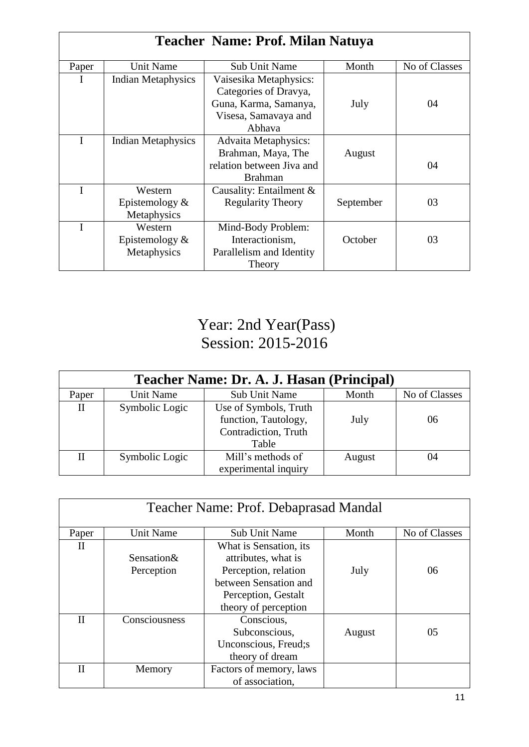| Teacher Name: Prof. Milan Natuya |                           |                             |           |               |  |
|----------------------------------|---------------------------|-----------------------------|-----------|---------------|--|
| Paper                            | <b>Unit Name</b>          | <b>Sub Unit Name</b>        | Month     | No of Classes |  |
|                                  | <b>Indian Metaphysics</b> | Vaisesika Metaphysics:      |           |               |  |
|                                  |                           | Categories of Dravya,       |           |               |  |
|                                  |                           | Guna, Karma, Samanya,       | July      | 04            |  |
|                                  |                           | Visesa, Samavaya and        |           |               |  |
|                                  |                           | Abhava                      |           |               |  |
|                                  | <b>Indian Metaphysics</b> | <b>Advaita Metaphysics:</b> |           |               |  |
|                                  |                           | Brahman, Maya, The          | August    |               |  |
|                                  |                           | relation between Jiva and   |           | 04            |  |
|                                  |                           | <b>Brahman</b>              |           |               |  |
| I                                | Western                   | Causality: Entailment $\&$  |           |               |  |
|                                  | Epistemology $\&$         | <b>Regularity Theory</b>    | September | 03            |  |
|                                  | Metaphysics               |                             |           |               |  |
|                                  | Western                   | Mind-Body Problem:          |           |               |  |
|                                  | Epistemology $&$          | Interactionism,             | October   | 03            |  |
|                                  | Metaphysics               | Parallelism and Identity    |           |               |  |
|                                  |                           | Theory                      |           |               |  |

# Year: 2nd Year(Pass) Session: 2015-2016

| Teacher Name: Dr. A. J. Hasan (Principal) |                |                       |        |               |  |
|-------------------------------------------|----------------|-----------------------|--------|---------------|--|
| Paper                                     | Unit Name      | Sub Unit Name         | Month  | No of Classes |  |
| $\mathbf{I}$                              | Symbolic Logic | Use of Symbols, Truth |        |               |  |
|                                           |                | function, Tautology,  | July   | 06            |  |
|                                           |                | Contradiction, Truth  |        |               |  |
|                                           |                | Table                 |        |               |  |
| П                                         | Symbolic Logic | Mill's methods of     | August | 04            |  |
|                                           |                | experimental inquiry  |        |               |  |

| Teacher Name: Prof. Debaprasad Mandal |                          |                                                                                                                                               |        |               |  |
|---------------------------------------|--------------------------|-----------------------------------------------------------------------------------------------------------------------------------------------|--------|---------------|--|
| Paper                                 | Unit Name                | <b>Sub Unit Name</b>                                                                                                                          | Month  | No of Classes |  |
| П                                     | Sensation&<br>Perception | What is Sensation, its<br>attributes, what is<br>Perception, relation<br>between Sensation and<br>Perception, Gestalt<br>theory of perception | July   | 06            |  |
| Н                                     | Consciousness            | Conscious,<br>Subconscious,<br>Unconscious, Freud; s<br>theory of dream                                                                       | August | 05            |  |
| Н                                     | Memory                   | Factors of memory, laws<br>of association,                                                                                                    |        |               |  |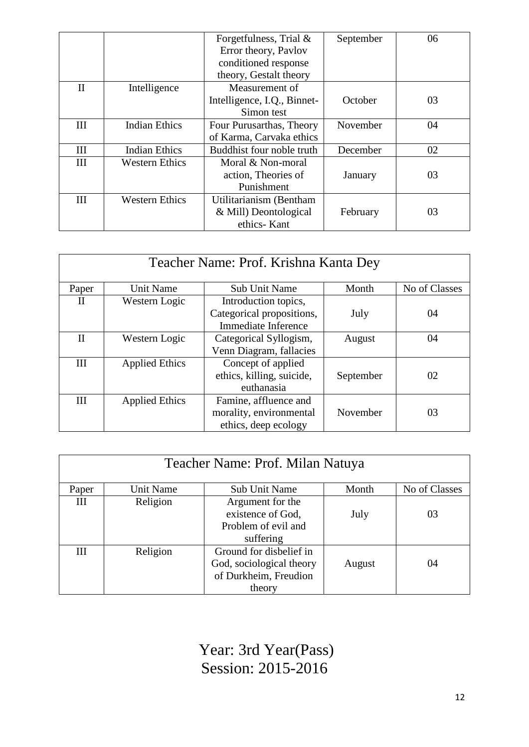|              |                       | Forgetfulness, Trial &      | September | 06 |
|--------------|-----------------------|-----------------------------|-----------|----|
|              |                       | Error theory, Pavlov        |           |    |
|              |                       | conditioned response        |           |    |
|              |                       | theory, Gestalt theory      |           |    |
| $\mathbf{I}$ | Intelligence          | Measurement of              |           |    |
|              |                       | Intelligence, I.Q., Binnet- | October   | 03 |
|              |                       | Simon test                  |           |    |
| Ш            | <b>Indian Ethics</b>  | Four Purusarthas, Theory    | November  | 04 |
|              |                       | of Karma, Carvaka ethics    |           |    |
| III          | <b>Indian Ethics</b>  | Buddhist four noble truth   | December  | 02 |
| III          | <b>Western Ethics</b> | Moral & Non-moral           |           |    |
|              |                       | action, Theories of         | January   | 03 |
|              |                       | Punishment                  |           |    |
| Ш            | <b>Western Ethics</b> | Utilitarianism (Bentham     |           |    |
|              |                       | & Mill) Deontological       | February  | 03 |
|              |                       | ethics-Kant                 |           |    |

| Teacher Name: Prof. Krishna Kanta Dey |                       |                           |           |               |
|---------------------------------------|-----------------------|---------------------------|-----------|---------------|
| Paper                                 | <b>Unit Name</b>      | <b>Sub Unit Name</b>      | Month     | No of Classes |
| H                                     | Western Logic         | Introduction topics,      |           |               |
|                                       |                       | Categorical propositions, | July      | 04            |
|                                       |                       | Immediate Inference       |           |               |
| $\mathbf{I}$                          | Western Logic         | Categorical Syllogism,    | August    | 04            |
|                                       |                       | Venn Diagram, fallacies   |           |               |
| III                                   | <b>Applied Ethics</b> | Concept of applied        |           |               |
|                                       |                       | ethics, killing, suicide, | September | 02            |
|                                       |                       | euthanasia                |           |               |
| III                                   | <b>Applied Ethics</b> | Famine, affluence and     |           |               |
|                                       |                       | morality, environmental   | November  | 03            |
|                                       |                       | ethics, deep ecology      |           |               |

| Teacher Name: Prof. Milan Natuya |           |                                                                                        |        |               |
|----------------------------------|-----------|----------------------------------------------------------------------------------------|--------|---------------|
| Paper                            | Unit Name | Sub Unit Name                                                                          | Month  | No of Classes |
| Ш                                | Religion  | Argument for the<br>existence of God,<br>Problem of evil and<br>suffering              | July   | 03            |
| Ш                                | Religion  | Ground for disbelief in<br>God, sociological theory<br>of Durkheim, Freudion<br>theory | August | 04            |

Year: 3rd Year(Pass) Session: 2015-2016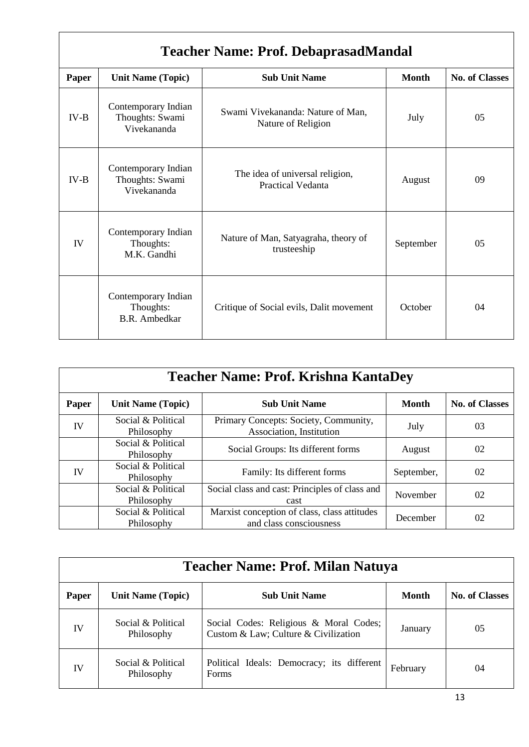| <b>Teacher Name: Prof. DebaprasadMandal</b> |                                                          |                                                             |              |                       |  |
|---------------------------------------------|----------------------------------------------------------|-------------------------------------------------------------|--------------|-----------------------|--|
| Paper                                       | <b>Unit Name (Topic)</b>                                 | <b>Sub Unit Name</b>                                        | <b>Month</b> | <b>No. of Classes</b> |  |
| $IV-B$                                      | Contemporary Indian<br>Thoughts: Swami<br>Vivekananda    | Swami Vivekananda: Nature of Man,<br>Nature of Religion     | July         | 05                    |  |
| $IV-B$                                      | Contemporary Indian<br>Thoughts: Swami<br>Vivekananda    | The idea of universal religion,<br><b>Practical Vedanta</b> | August       | 09                    |  |
| IV                                          | Contemporary Indian<br>Thoughts:<br>M.K. Gandhi          | Nature of Man, Satyagraha, theory of<br>trusteeship         | September    | 05                    |  |
|                                             | Contemporary Indian<br>Thoughts:<br><b>B.R.</b> Ambedkar | Critique of Social evils, Dalit movement                    | October      | 04                    |  |

 $\overline{1}$ 

| <b>Teacher Name: Prof. Krishna KantaDey</b> |                                  |                                                                         |              |                       |  |
|---------------------------------------------|----------------------------------|-------------------------------------------------------------------------|--------------|-----------------------|--|
| Paper                                       | <b>Unit Name (Topic)</b>         | <b>Sub Unit Name</b>                                                    | <b>Month</b> | <b>No. of Classes</b> |  |
| IV                                          | Social & Political<br>Philosophy | Primary Concepts: Society, Community,<br>Association, Institution       | July         | 03                    |  |
|                                             | Social & Political<br>Philosophy | Social Groups: Its different forms                                      | August       | 02                    |  |
| IV                                          | Social & Political<br>Philosophy | Family: Its different forms                                             | September,   | 02                    |  |
|                                             | Social & Political<br>Philosophy | Social class and cast: Principles of class and<br>cast                  | November     | 02                    |  |
|                                             | Social & Political<br>Philosophy | Marxist conception of class, class attitudes<br>and class consciousness | December     | 02                    |  |

| <b>Teacher Name: Prof. Milan Natuya</b> |                                  |                                                                                |          |                       |
|-----------------------------------------|----------------------------------|--------------------------------------------------------------------------------|----------|-----------------------|
| Paper                                   | <b>Unit Name (Topic)</b>         | <b>Sub Unit Name</b>                                                           | Month    | <b>No. of Classes</b> |
| IV                                      | Social & Political<br>Philosophy | Social Codes: Religious & Moral Codes;<br>Custom & Law; Culture & Civilization | January  | 05                    |
| IV                                      | Social & Political<br>Philosophy | Political Ideals: Democracy; its different<br>Forms                            | February | 04                    |